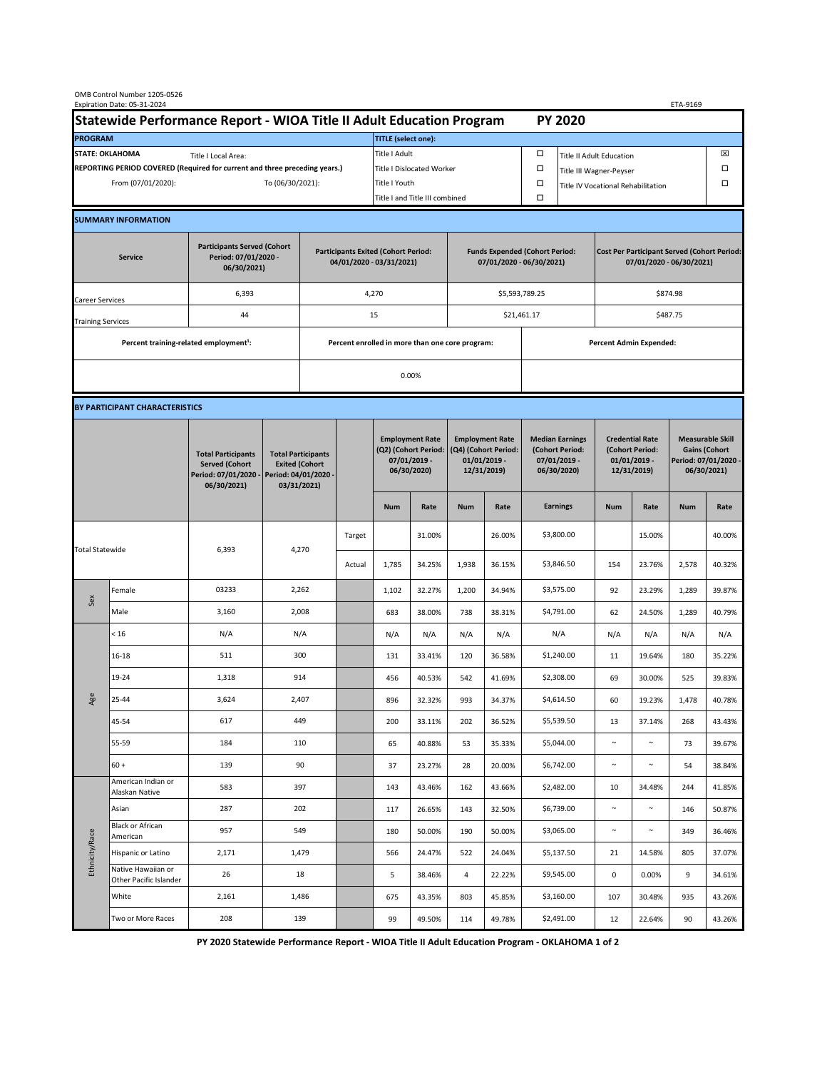| OMB Control Number 1205-0526<br>Expiration Date: 05-31-2024<br>ETA-9169                     |                                                    |                                                                                           |                                                                                           |                                                                        |                           |                                                                               |                                |                                                                                 |        |                                                                            |                                    |                                                                                |        |                                                                                        |        |  |  |
|---------------------------------------------------------------------------------------------|----------------------------------------------------|-------------------------------------------------------------------------------------------|-------------------------------------------------------------------------------------------|------------------------------------------------------------------------|---------------------------|-------------------------------------------------------------------------------|--------------------------------|---------------------------------------------------------------------------------|--------|----------------------------------------------------------------------------|------------------------------------|--------------------------------------------------------------------------------|--------|----------------------------------------------------------------------------------------|--------|--|--|
| Statewide Performance Report - WIOA Title II Adult Education Program                        |                                                    |                                                                                           |                                                                                           |                                                                        |                           |                                                                               |                                |                                                                                 |        |                                                                            | <b>PY 2020</b>                     |                                                                                |        |                                                                                        |        |  |  |
| <b>PROGRAM</b>                                                                              |                                                    |                                                                                           |                                                                                           |                                                                        |                           | <b>TITLE</b> (select one):                                                    |                                |                                                                                 |        |                                                                            |                                    |                                                                                |        |                                                                                        |        |  |  |
| <b>STATE: OKLAHOMA</b><br>Title I Local Area:                                               |                                                    |                                                                                           |                                                                                           |                                                                        |                           | Title I Adult                                                                 |                                |                                                                                 |        | □<br><b>Title II Adult Education</b>                                       |                                    |                                                                                |        |                                                                                        | ⊠      |  |  |
| REPORTING PERIOD COVERED (Required for current and three preceding years.)                  |                                                    |                                                                                           |                                                                                           |                                                                        | Title I Dislocated Worker |                                                                               |                                |                                                                                 |        | Ω                                                                          | Title III Wagner-Peyser            |                                                                                |        |                                                                                        |        |  |  |
| From (07/01/2020):                                                                          |                                                    |                                                                                           |                                                                                           | To (06/30/2021):                                                       |                           |                                                                               | Title I Youth                  |                                                                                 |        | $\Box$                                                                     | Title IV Vocational Rehabilitation |                                                                                |        | □                                                                                      |        |  |  |
|                                                                                             |                                                    |                                                                                           |                                                                                           |                                                                        |                           |                                                                               | Title I and Title III combined |                                                                                 |        | Ω                                                                          |                                    |                                                                                |        |                                                                                        |        |  |  |
|                                                                                             | <b>SUMMARY INFORMATION</b>                         |                                                                                           |                                                                                           |                                                                        |                           |                                                                               |                                |                                                                                 |        |                                                                            |                                    |                                                                                |        |                                                                                        |        |  |  |
| <b>Participants Served (Cohort</b><br>Period: 07/01/2020 -<br><b>Service</b><br>06/30/2021) |                                                    |                                                                                           |                                                                                           | <b>Participants Exited (Cohort Period:</b><br>04/01/2020 - 03/31/2021) |                           |                                                                               |                                | <b>Funds Expended (Cohort Period:</b><br>07/01/2020 - 06/30/2021)               |        |                                                                            |                                    | <b>Cost Per Participant Served (Cohort Period:</b><br>07/01/2020 - 06/30/2021) |        |                                                                                        |        |  |  |
| Career Services                                                                             |                                                    | 6,393                                                                                     |                                                                                           |                                                                        |                           | 4,270                                                                         |                                |                                                                                 |        | \$5,593,789.25                                                             |                                    | \$874.98                                                                       |        |                                                                                        |        |  |  |
| <b>Training Services</b>                                                                    |                                                    | 44                                                                                        |                                                                                           | 15                                                                     |                           |                                                                               |                                |                                                                                 |        | \$21,461.17                                                                |                                    | \$487.75                                                                       |        |                                                                                        |        |  |  |
|                                                                                             | Percent training-related employment <sup>1</sup> : |                                                                                           | Percent enrolled in more than one core program:                                           |                                                                        |                           |                                                                               |                                |                                                                                 |        |                                                                            | <b>Percent Admin Expended:</b>     |                                                                                |        |                                                                                        |        |  |  |
|                                                                                             |                                                    |                                                                                           |                                                                                           |                                                                        |                           |                                                                               |                                |                                                                                 |        |                                                                            |                                    |                                                                                |        |                                                                                        |        |  |  |
|                                                                                             |                                                    |                                                                                           | 0.00%                                                                                     |                                                                        |                           |                                                                               |                                |                                                                                 |        |                                                                            |                                    |                                                                                |        |                                                                                        |        |  |  |
|                                                                                             | BY PARTICIPANT CHARACTERISTICS                     |                                                                                           |                                                                                           |                                                                        |                           |                                                                               |                                |                                                                                 |        |                                                                            |                                    |                                                                                |        |                                                                                        |        |  |  |
|                                                                                             |                                                    | <b>Total Participants</b><br><b>Served (Cohort</b><br>Period: 07/01/2020 -<br>06/30/2021) | <b>Total Participants</b><br><b>Exited (Cohort</b><br>Period: 04/01/2020 -<br>03/31/2021) |                                                                        |                           | <b>Employment Rate</b><br>(Q2) (Cohort Period:<br>07/01/2019 -<br>06/30/2020) |                                | <b>Employment Rate</b><br>(Q4) (Cohort Period:<br>$01/01/2019$ -<br>12/31/2019) |        | <b>Median Earnings</b><br>(Cohort Period:<br>$07/01/2019 -$<br>06/30/2020) |                                    | <b>Credential Rate</b><br>(Cohort Period:<br>$01/01/2019$ -<br>12/31/2019)     |        | <b>Measurable Skill</b><br><b>Gains (Cohort</b><br>Period: 07/01/2020 -<br>06/30/2021) |        |  |  |
|                                                                                             |                                                    |                                                                                           |                                                                                           |                                                                        |                           | <b>Num</b>                                                                    | Rate                           | <b>Num</b>                                                                      | Rate   |                                                                            | <b>Earnings</b>                    | <b>Num</b>                                                                     | Rate   | <b>Num</b>                                                                             | Rate   |  |  |
| <b>Total Statewide</b>                                                                      |                                                    | 6,393                                                                                     | 4,270                                                                                     |                                                                        | Target                    |                                                                               | 31.00%                         |                                                                                 | 26.00% |                                                                            | \$3,800.00                         |                                                                                | 15.00% |                                                                                        | 40.00% |  |  |
|                                                                                             |                                                    |                                                                                           |                                                                                           |                                                                        | Actual                    | 1,785                                                                         | 34.25%                         | 1,938                                                                           | 36.15% |                                                                            | \$3,846.50                         | 154                                                                            | 23.76% | 2,578                                                                                  | 40.32% |  |  |
| Sex                                                                                         | Female                                             | 03233                                                                                     | 2,262                                                                                     |                                                                        |                           | 1,102                                                                         | 32.27%                         | 1,200                                                                           | 34.94% |                                                                            | \$3,575.00                         | 92                                                                             | 23.29% | 1,289                                                                                  | 39.87% |  |  |
|                                                                                             | Male                                               | 3,160                                                                                     | 2,008                                                                                     |                                                                        |                           | 683                                                                           | 38.00%                         | 738                                                                             | 38.31% |                                                                            | \$4,791.00                         | 62                                                                             | 24.50% | 1,289                                                                                  | 40.79% |  |  |
| Age                                                                                         | < 16                                               | N/A                                                                                       | N/A                                                                                       |                                                                        |                           | N/A                                                                           | N/A                            | N/A                                                                             | N/A    |                                                                            | N/A                                | N/A                                                                            | N/A    | N/A                                                                                    | N/A    |  |  |
|                                                                                             | $16 - 18$                                          | 511                                                                                       | 300                                                                                       |                                                                        |                           | 131                                                                           | 33.41%                         | 120                                                                             | 36.58% |                                                                            | \$1,240.00                         | 11                                                                             | 19.64% | 180                                                                                    | 35.22% |  |  |
|                                                                                             | 19-24                                              | 1,318                                                                                     | 914                                                                                       |                                                                        |                           | 456                                                                           | 40.53%                         | 542                                                                             | 41.69% |                                                                            | \$2,308.00                         | 69                                                                             | 30.00% | 525                                                                                    | 39.83% |  |  |
|                                                                                             | 25-44                                              | 3,624                                                                                     | 2,407                                                                                     |                                                                        |                           | 896                                                                           | 32.32%                         | 993                                                                             | 34.37% |                                                                            | \$4,614.50                         | 60                                                                             | 19.23% | 1,478                                                                                  | 40.78% |  |  |
|                                                                                             | 45-54                                              | 617                                                                                       | 449                                                                                       |                                                                        |                           | 200                                                                           | 33.11%                         | 202                                                                             | 36.52% |                                                                            | \$5,539.50                         | 13                                                                             | 37.14% | 268                                                                                    | 43.43% |  |  |
|                                                                                             | 55-59                                              | 184                                                                                       | 110                                                                                       |                                                                        |                           | 65                                                                            | 40.88%                         | 53                                                                              | 35.33% |                                                                            | \$5,044.00                         | $\sim$                                                                         | $\sim$ | 73                                                                                     | 39.67% |  |  |
|                                                                                             | $60 +$                                             | 139                                                                                       | 90                                                                                        |                                                                        |                           | 37                                                                            | 23.27%                         | 28                                                                              | 20.00% |                                                                            | \$6,742.00                         | $\sim$                                                                         | $\sim$ | 54                                                                                     | 38.84% |  |  |
| Ethnicity/Race                                                                              | American Indian or<br>Alaskan Native               | 583                                                                                       | 397                                                                                       |                                                                        |                           | 143                                                                           | 43.46%                         | 162                                                                             | 43.66% |                                                                            | \$2,482.00                         | 10                                                                             | 34.48% | 244                                                                                    | 41.85% |  |  |
|                                                                                             | Asian                                              | 287                                                                                       | 202                                                                                       |                                                                        |                           | 117                                                                           | 26.65%                         | 143                                                                             | 32.50% |                                                                            | \$6,739.00                         | $\sim$                                                                         | $\sim$ | 146                                                                                    | 50.87% |  |  |
|                                                                                             | Black or African<br>American                       | 957                                                                                       | 549                                                                                       |                                                                        |                           | 180                                                                           | 50.00%                         | 190                                                                             | 50.00% |                                                                            | \$3,065.00                         | $\sim$                                                                         | $\sim$ | 349                                                                                    | 36.46% |  |  |
|                                                                                             | Hispanic or Latino                                 | 2,171                                                                                     | 1,479                                                                                     |                                                                        |                           | 566                                                                           | 24.47%                         | 522                                                                             | 24.04% |                                                                            | \$5,137.50                         | 21                                                                             | 14.58% | 805                                                                                    | 37.07% |  |  |
|                                                                                             | Native Hawaiian or<br>Other Pacific Islander       | 26                                                                                        | 18                                                                                        |                                                                        |                           | 5                                                                             | 38.46%                         | 4                                                                               | 22.22% |                                                                            | \$9,545.00                         | $\mathbf 0$                                                                    | 0.00%  | 9                                                                                      | 34.61% |  |  |
|                                                                                             | White                                              | 2,161                                                                                     | 1,486                                                                                     |                                                                        |                           | 675                                                                           | 43.35%                         | 803                                                                             | 45.85% |                                                                            | \$3,160.00                         | 107                                                                            | 30.48% | 935                                                                                    | 43.26% |  |  |
|                                                                                             | Two or More Races                                  | 208                                                                                       | 139                                                                                       |                                                                        |                           | 99                                                                            | 49.50%                         | 114                                                                             | 49.78% |                                                                            | \$2,491.00                         | 12                                                                             | 22.64% | 90                                                                                     | 43.26% |  |  |

**PY 2020 Statewide Performance Report - WIOA Title II Adult Education Program - OKLAHOMA 1 of 2**